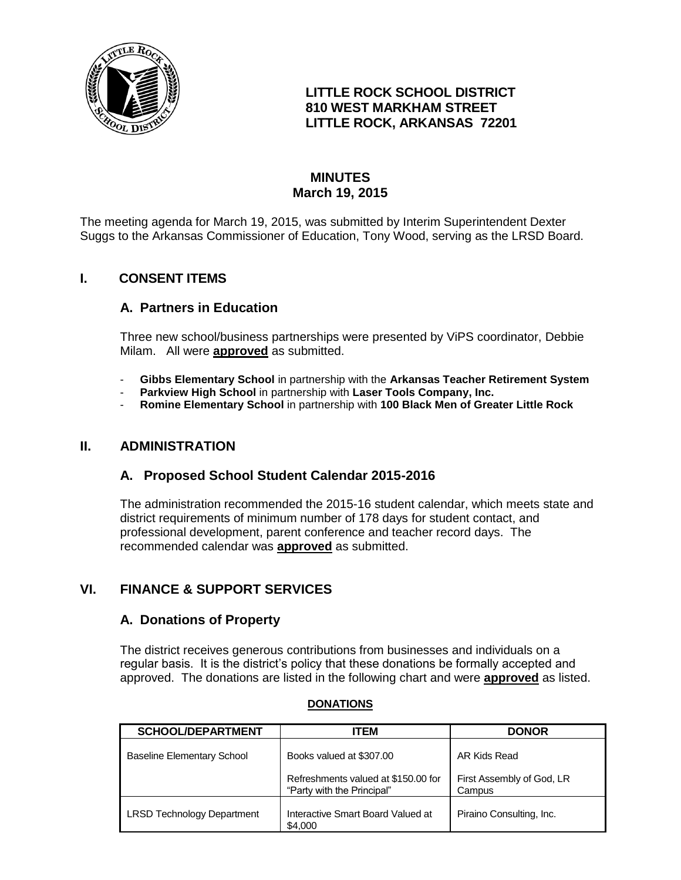

## **LITTLE ROCK SCHOOL DISTRICT 810 WEST MARKHAM STREET LITTLE ROCK, ARKANSAS 72201**

# **MINUTES March 19, 2015**

The meeting agenda for March 19, 2015, was submitted by Interim Superintendent Dexter Suggs to the Arkansas Commissioner of Education, Tony Wood, serving as the LRSD Board.

## **I. CONSENT ITEMS**

## **A. Partners in Education**

Three new school/business partnerships were presented by ViPS coordinator, Debbie Milam. All were **approved** as submitted.

- **Gibbs Elementary School** in partnership with the **Arkansas Teacher Retirement System**
- **Parkview High School** in partnership with **Laser Tools Company, Inc.**
- **Romine Elementary School** in partnership with **100 Black Men of Greater Little Rock**

## **II. ADMINISTRATION**

## **A. Proposed School Student Calendar 2015-2016**

The administration recommended the 2015-16 student calendar, which meets state and district requirements of minimum number of 178 days for student contact, and professional development, parent conference and teacher record days. The recommended calendar was **approved** as submitted.

## **VI. FINANCE & SUPPORT SERVICES**

#### **A. Donations of Property**

The district receives generous contributions from businesses and individuals on a regular basis. It is the district's policy that these donations be formally accepted and approved. The donations are listed in the following chart and were **approved** as listed.

| <b>SCHOOL/DEPARTMENT</b>          | <b>ITEM</b>                                                       | <b>DONOR</b>                        |
|-----------------------------------|-------------------------------------------------------------------|-------------------------------------|
| <b>Baseline Elementary School</b> | Books valued at \$307.00                                          | AR Kids Read                        |
|                                   | Refreshments valued at \$150.00 for<br>"Party with the Principal" | First Assembly of God, LR<br>Campus |
| <b>LRSD Technology Department</b> | Interactive Smart Board Valued at<br>\$4,000                      | Piraino Consulting, Inc.            |

#### **DONATIONS**